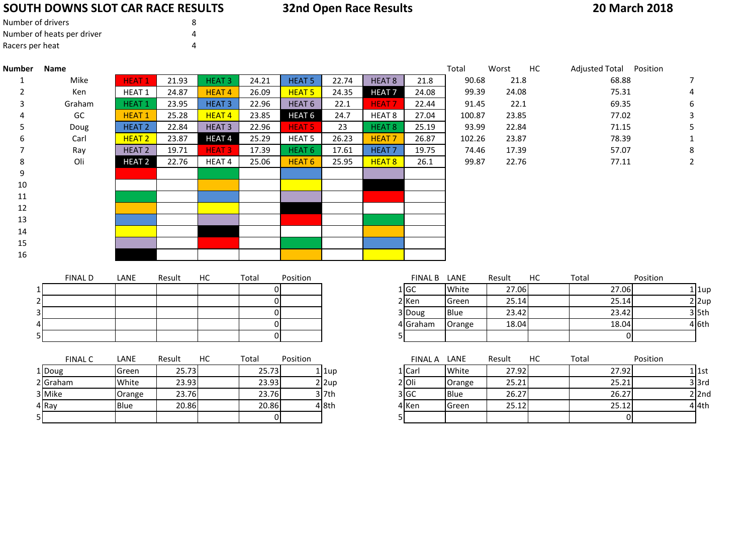# **SOUTH DOWNS SLOT CAR RACE RESULTS**

# **32nd Open Race Results**

### **20 March 2018**

| Number of drivers          | 8 |
|----------------------------|---|
| Number of heats per driver |   |
| Racers per heat            | 4 |

| <b>Number</b> | Name           |                   |        |                   |                |                   |       |                   |              | Total  | Worst  | HC | Adjusted Total Position |                 |          |
|---------------|----------------|-------------------|--------|-------------------|----------------|-------------------|-------|-------------------|--------------|--------|--------|----|-------------------------|-----------------|----------|
|               | Mike           | <b>HEAT1</b>      | 21.93  | <b>HEAT 3</b>     | 24.21          | HEAT <sub>5</sub> | 22.74 | HEAT <sub>8</sub> | 21.8         | 90.68  | 21.8   |    | 68.88                   |                 | 7        |
|               | Ken            | <b>HEAT1</b>      | 24.87  | <b>HEAT4</b>      | 26.09          | <b>HEAT 5</b>     | 24.35 | <b>HEAT7</b>      | 24.08        | 99.39  | 24.08  |    | 75.31                   |                 |          |
|               | Graham         | <b>HEAT1</b>      | 23.95  | <b>HEAT3</b>      | 22.96          | HEAT <sub>6</sub> | 22.1  | <b>HEAT7</b>      | 22.44        | 91.45  | 22.1   |    | 69.35                   |                 | 6        |
|               | GC             | <b>HEAT1</b>      | 25.28  | <b>HEAT4</b>      | 23.85          | HEAT <sub>6</sub> | 24.7  | HEAT <sub>8</sub> | 27.04        | 100.87 | 23.85  |    | 77.02                   |                 | 3        |
|               | Doug           | <b>HEAT 2</b>     | 22.84  | <b>HEAT3</b>      | 22.96          | <b>HEAT 5</b>     | 23    | <b>HEAT 8</b>     | 25.19        | 93.99  | 22.84  |    | 71.15                   |                 |          |
|               | Carl           | HEAT <sub>2</sub> | 23.87  | HEAT <sub>4</sub> | 25.29          | <b>HEAT 5</b>     | 26.23 | <b>HEAT7</b>      | 26.87        | 102.26 | 23.87  |    | 78.39                   |                 |          |
|               | Ray            | HEAT <sub>2</sub> | 19.71  | <b>HEAT3</b>      | 17.39          | HEAT <sub>6</sub> | 17.61 | HEAT <sub>7</sub> | 19.75        | 74.46  | 17.39  |    | 57.07                   |                 | 8        |
| 8             | Oli            | HEAT <sub>2</sub> | 22.76  | HEAT <sub>4</sub> | 25.06          | HEAT <sub>6</sub> | 25.95 | HEAT <sub>8</sub> | 26.1         | 99.87  | 22.76  |    | 77.11                   |                 | 2        |
| 9             |                |                   |        |                   |                |                   |       |                   |              |        |        |    |                         |                 |          |
| 10            |                |                   |        |                   |                |                   |       |                   |              |        |        |    |                         |                 |          |
| 11            |                |                   |        |                   |                |                   |       |                   |              |        |        |    |                         |                 |          |
| 12            |                |                   |        |                   |                |                   |       |                   |              |        |        |    |                         |                 |          |
| 13            |                |                   |        |                   |                |                   |       |                   |              |        |        |    |                         |                 |          |
| 14            |                |                   |        |                   |                |                   |       |                   |              |        |        |    |                         |                 |          |
| 15            |                |                   |        |                   |                |                   |       |                   |              |        |        |    |                         |                 |          |
| 16            |                |                   |        |                   |                |                   |       |                   |              |        |        |    |                         |                 |          |
|               |                |                   |        |                   |                |                   |       |                   |              |        |        |    |                         |                 |          |
|               | <b>FINAL D</b> | LANE              | Result | НC                | Total          | Position          |       |                   | FINAL B LANE |        | Result | HC | Total                   | Position        |          |
|               |                |                   |        |                   | 01             |                   |       |                   | 1 GC         | White  | 27.06  |    | 27.06                   |                 | $1$  1up |
|               |                |                   |        |                   | $\overline{0}$ |                   |       |                   | 2 Ken        | Green  | 25.14  |    | 25.14                   |                 | $2$  2up |
|               |                |                   |        |                   | 0              |                   |       |                   | 3 Doug       | Blue   | 23.42  |    | 23.42                   |                 | $3$ 5th  |
|               |                |                   |        |                   | $\overline{0}$ |                   |       |                   | 4 Graham     | Orange | 18.04  |    | 18.04                   |                 | 46th     |
|               |                |                   |        |                   | $\Omega$       |                   |       | 5 <sub>l</sub>    |              |        |        |    |                         | $\Omega$        |          |
|               | $FIMAI$ $C$    | <b>I ANF</b>      | Result | HC                | Total          | <b>Position</b>   |       |                   | FINAL A LANE |        | Result | HC | Total                   | <b>Position</b> |          |

|    | <b>FINAL C</b> | LANE        | Result | НC | Total | Position |          | <b>FINAL A</b> | LANE         | Result | НC | Total |
|----|----------------|-------------|--------|----|-------|----------|----------|----------------|--------------|--------|----|-------|
|    | 1 Doug         | Green       | 25.73  |    | 25.73 |          | 1 1up    | 1   Carl       | White        | 27.92  |    | 27.92 |
|    | 2 Graham       | White       | 23.93  |    | 23.93 |          | $2$  2up | 2 Oli          | Orange       | 25.21  |    | 25.21 |
|    | 3 Mike         | Orange      | 23.76  |    | 23.76 |          | $3$ 7th  | 3 IGC          | <b>Blue</b>  | 26.27  |    | 26.27 |
|    | 4 Ray          | <b>Blue</b> | 20.86  |    | 20.86 |          | 4 8th    | 4 Ken          | <b>Green</b> | 25.12  |    | 25.12 |
| 51 |                |             |        |    |       |          |          |                |              |        |    |       |

| FINAL C | LANE        | Result | HC | Total | Position |              | <b>FINAL A</b> | LANE        | Result | НC | Total | Position           |  |
|---------|-------------|--------|----|-------|----------|--------------|----------------|-------------|--------|----|-------|--------------------|--|
|         | Green       | 25.73  |    | 25.73 |          | l 1up        | 1   Carl       | White       | 27.92  |    | 27.92 | 1   1st            |  |
| m       | White       | 23.93  |    | 23.93 |          | $2 \times 2$ | 2 Oli          | Orange      | 25.21  |    | 25.21 | 3 3rd              |  |
|         | Orange      | 23.76  |    | 23.76 |          | $3$ 7th      | 3 GC           | <b>Blue</b> | 26.27  |    | 26.27 | $2$ 2nd            |  |
|         | <b>Blue</b> | 20.86  |    | 20.86 |          | 4 8th        | 4 Ken          | Green       | 25.12  |    | 25.12 | 4 <sup>1</sup> 4th |  |
|         |             |        |    |       |          |              |                |             |        |    |       |                    |  |